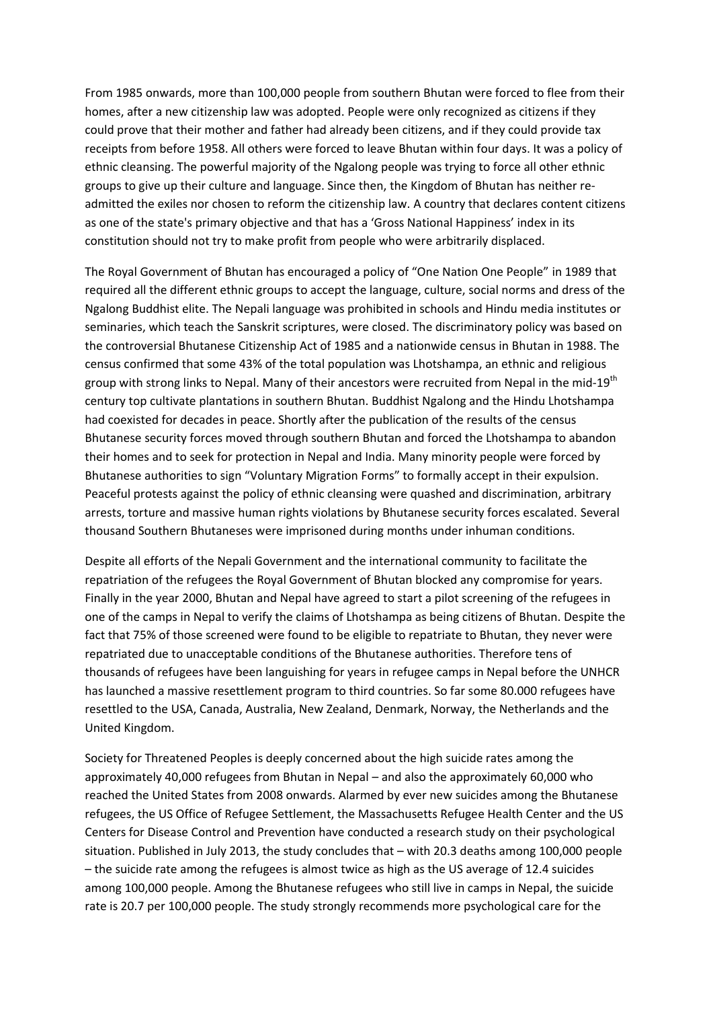From 1985 onwards, more than 100,000 people from southern Bhutan were forced to flee from their homes, after a new citizenship law was adopted. People were only recognized as citizens if they could prove that their mother and father had already been citizens, and if they could provide tax receipts from before 1958. All others were forced to leave Bhutan within four days. It was a policy of ethnic cleansing. The powerful majority of the Ngalong people was trying to force all other ethnic groups to give up their culture and language. Since then, the Kingdom of Bhutan has neither readmitted the exiles nor chosen to reform the citizenship law. A country that declares content citizens as one of the state's primary objective and that has a 'Gross National Happiness' index in its constitution should not try to make profit from people who were arbitrarily displaced.

The Royal Government of Bhutan has encouraged a policy of "One Nation One People" in 1989 that required all the different ethnic groups to accept the language, culture, social norms and dress of the Ngalong Buddhist elite. The Nepali language was prohibited in schools and Hindu media institutes or seminaries, which teach the Sanskrit scriptures, were closed. The discriminatory policy was based on the controversial Bhutanese Citizenship Act of 1985 and a nationwide census in Bhutan in 1988. The census confirmed that some 43% of the total population was Lhotshampa, an ethnic and religious group with strong links to Nepal. Many of their ancestors were recruited from Nepal in the mid-19<sup>th</sup> century top cultivate plantations in southern Bhutan. Buddhist Ngalong and the Hindu Lhotshampa had coexisted for decades in peace. Shortly after the publication of the results of the census Bhutanese security forces moved through southern Bhutan and forced the Lhotshampa to abandon their homes and to seek for protection in Nepal and India. Many minority people were forced by Bhutanese authorities to sign "Voluntary Migration Forms" to formally accept in their expulsion. Peaceful protests against the policy of ethnic cleansing were quashed and discrimination, arbitrary arrests, torture and massive human rights violations by Bhutanese security forces escalated. Several thousand Southern Bhutaneses were imprisoned during months under inhuman conditions.

Despite all efforts of the Nepali Government and the international community to facilitate the repatriation of the refugees the Royal Government of Bhutan blocked any compromise for years. Finally in the year 2000, Bhutan and Nepal have agreed to start a pilot screening of the refugees in one of the camps in Nepal to verify the claims of Lhotshampa as being citizens of Bhutan. Despite the fact that 75% of those screened were found to be eligible to repatriate to Bhutan, they never were repatriated due to unacceptable conditions of the Bhutanese authorities. Therefore tens of thousands of refugees have been languishing for years in refugee camps in Nepal before the UNHCR has launched a massive resettlement program to third countries. So far some 80.000 refugees have resettled to the USA, Canada, Australia, New Zealand, Denmark, Norway, the Netherlands and the United Kingdom.

Society for Threatened Peoples is deeply concerned about the high suicide rates among the approximately 40,000 refugees from Bhutan in Nepal – and also the approximately 60,000 who reached the United States from 2008 onwards. Alarmed by ever new suicides among the Bhutanese refugees, the US Office of Refugee Settlement, the Massachusetts Refugee Health Center and the US Centers for Disease Control and Prevention have conducted a research study on their psychological situation. Published in July 2013, the study concludes that – with 20.3 deaths among 100,000 people – the suicide rate among the refugees is almost twice as high as the US average of 12.4 suicides among 100,000 people. Among the Bhutanese refugees who still live in camps in Nepal, the suicide rate is 20.7 per 100,000 people. The study strongly recommends more psychological care for the